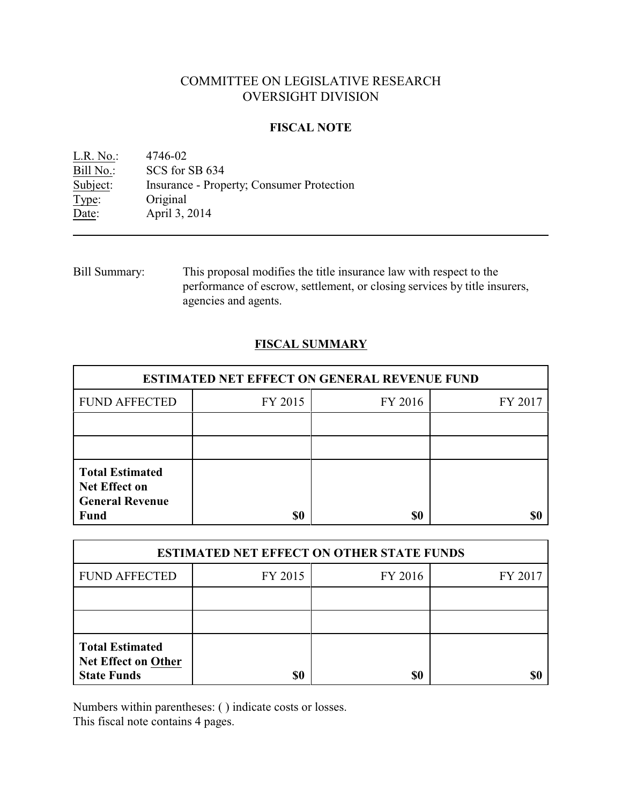# COMMITTEE ON LEGISLATIVE RESEARCH OVERSIGHT DIVISION

### **FISCAL NOTE**

<u>L.R. No.:</u> 4746-02<br>Bill No.: SCS for : Bill No.: SCS for SB 634<br>Subject: Insurance - Prop Insurance - Property; Consumer Protection Type: Original Date: April 3, 2014

Bill Summary: This proposal modifies the title insurance law with respect to the performance of escrow, settlement, or closing services by title insurers, agencies and agents.

# **FISCAL SUMMARY**

| <b>ESTIMATED NET EFFECT ON GENERAL REVENUE FUND</b>                                     |         |         |         |  |
|-----------------------------------------------------------------------------------------|---------|---------|---------|--|
| <b>FUND AFFECTED</b>                                                                    | FY 2015 | FY 2016 | FY 2017 |  |
|                                                                                         |         |         |         |  |
|                                                                                         |         |         |         |  |
| <b>Total Estimated</b><br><b>Net Effect on</b><br><b>General Revenue</b><br><b>Fund</b> | \$0     | \$0     |         |  |

| <b>ESTIMATED NET EFFECT ON OTHER STATE FUNDS</b>                           |         |         |         |  |
|----------------------------------------------------------------------------|---------|---------|---------|--|
| <b>FUND AFFECTED</b>                                                       | FY 2015 | FY 2016 | FY 2017 |  |
|                                                                            |         |         |         |  |
|                                                                            |         |         |         |  |
| <b>Total Estimated</b><br><b>Net Effect on Other</b><br><b>State Funds</b> | \$0     | \$0     |         |  |

Numbers within parentheses: ( ) indicate costs or losses.

This fiscal note contains 4 pages.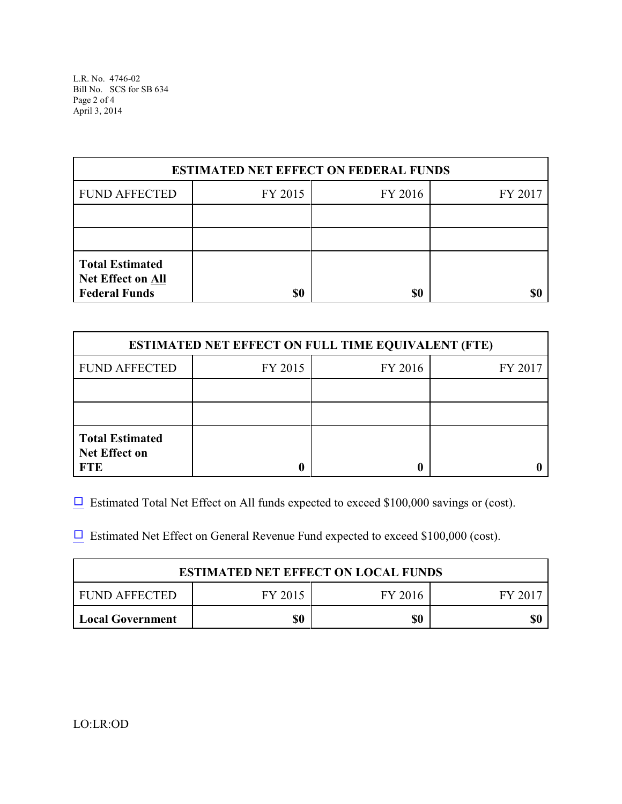L.R. No. 4746-02 Bill No. SCS for SB 634 Page 2 of 4 April 3, 2014

| <b>ESTIMATED NET EFFECT ON FEDERAL FUNDS</b>                               |         |         |         |  |
|----------------------------------------------------------------------------|---------|---------|---------|--|
| <b>FUND AFFECTED</b>                                                       | FY 2015 | FY 2016 | FY 2017 |  |
|                                                                            |         |         |         |  |
|                                                                            |         |         |         |  |
| <b>Total Estimated</b><br><b>Net Effect on All</b><br><b>Federal Funds</b> | \$0     | \$0     |         |  |

| <b>ESTIMATED NET EFFECT ON FULL TIME EQUIVALENT (FTE)</b>    |         |         |         |  |
|--------------------------------------------------------------|---------|---------|---------|--|
| <b>FUND AFFECTED</b>                                         | FY 2015 | FY 2016 | FY 2017 |  |
|                                                              |         |         |         |  |
|                                                              |         |         |         |  |
| <b>Total Estimated</b><br><b>Net Effect on</b><br><b>FTE</b> |         |         |         |  |

 $\Box$  Estimated Total Net Effect on All funds expected to exceed \$100,000 savings or (cost).

 $\Box$  Estimated Net Effect on General Revenue Fund expected to exceed \$100,000 (cost).

| <b>ESTIMATED NET EFFECT ON LOCAL FUNDS</b> |         |         |       |  |
|--------------------------------------------|---------|---------|-------|--|
| FUND AFFECTED                              | FY 2015 | FY 2016 | FV 20 |  |
| <b>Local Government</b>                    | \$0     | \$0     | \$(   |  |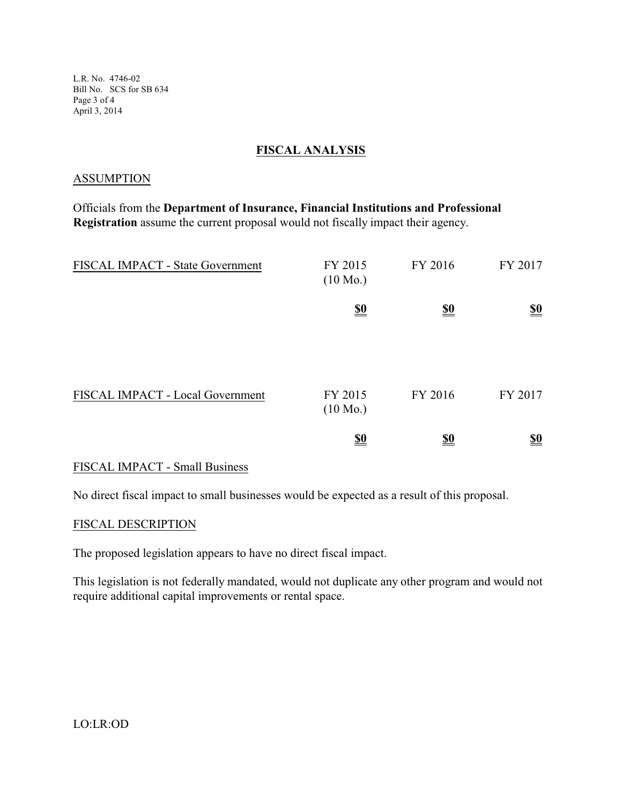L.R. No. 4746-02 Bill No. SCS for SB 634 Page 3 of 4 April 3, 2014

## **FISCAL ANALYSIS**

#### ASSUMPTION

Officials from the **Department of Insurance, Financial Institutions and Professional Registration** assume the current proposal would not fiscally impact their agency.

| FISCAL IMPACT - State Government | FY 2015<br>$(10 \text{ Mo.})$ | FY 2016                       | FY 2017                       |
|----------------------------------|-------------------------------|-------------------------------|-------------------------------|
|                                  | $\underline{\underline{\$0}}$ | $\underline{\underline{\$0}}$ | $\underline{\underline{\$0}}$ |
| FISCAL IMPACT - Local Government | FY 2015<br>$(10 \text{ Mo.})$ | FY 2016                       | FY 2017                       |
|                                  | $\underline{\underline{\$0}}$ | <u>\$0</u>                    | $\underline{\underline{\$0}}$ |

### FISCAL IMPACT - Small Business

No direct fiscal impact to small businesses would be expected as a result of this proposal.

#### FISCAL DESCRIPTION

The proposed legislation appears to have no direct fiscal impact.

This legislation is not federally mandated, would not duplicate any other program and would not require additional capital improvements or rental space.